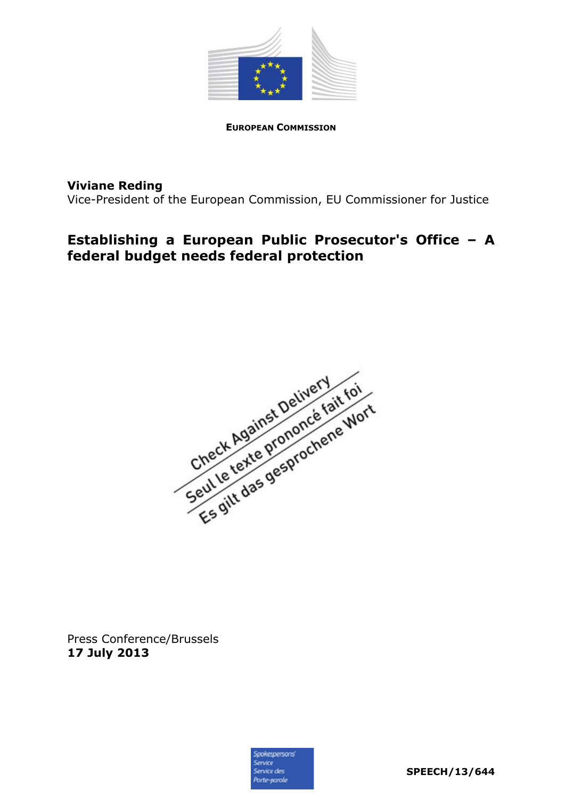

**EUROPEAN COMMISSION**

## **Viviane Reding**

Vice-President of the European Commission, EU Commissioner for Justice

# **Establishing a European Public Prosecutor's Office – A federal budget needs federal protection**



Press Conference/Brussels **17 July 2013** 

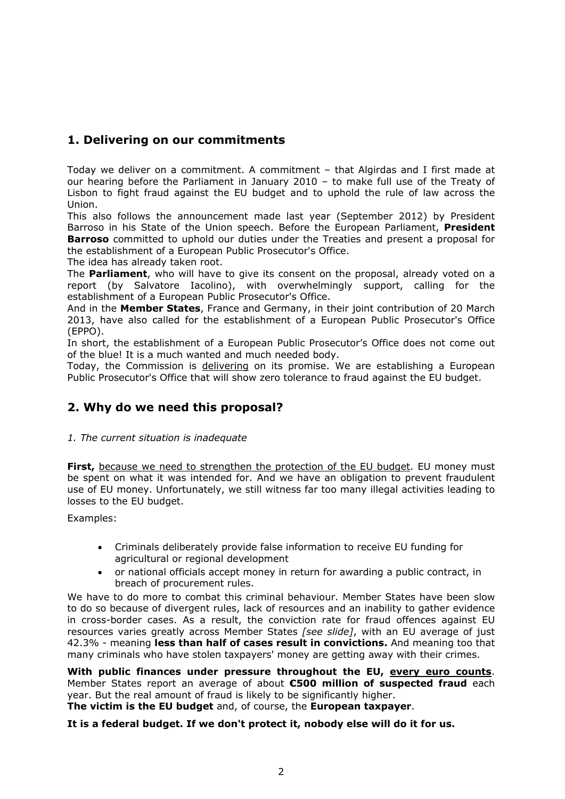# **1. Delivering on our commitments**

Today we deliver on a commitment. A commitment – that Algirdas and I first made at our hearing before the Parliament in January 2010 – to make full use of the Treaty of Lisbon to fight fraud against the EU budget and to uphold the rule of law across the Union.

This also follows the announcement made last year (September 2012) by President Barroso in his State of the Union speech. Before the European Parliament, **President Barroso** committed to uphold our duties under the Treaties and present a proposal for the establishment of a European Public Prosecutor's Office.

The idea has already taken root.

The **Parliament**, who will have to give its consent on the proposal, already voted on a report (by Salvatore Iacolino), with overwhelmingly support, calling for the establishment of a European Public Prosecutor's Office.

And in the **Member States**, France and Germany, in their joint contribution of 20 March 2013, have also called for the establishment of a European Public Prosecutor's Office (EPPO).

In short, the establishment of a European Public Prosecutor's Office does not come out of the blue! It is a much wanted and much needed body.

Today, the Commission is delivering on its promise. We are establishing a European Public Prosecutor's Office that will show zero tolerance to fraud against the EU budget.

## **2. Why do we need this proposal?**

#### *1. The current situation is inadequate*

**First,** because we need to strengthen the protection of the EU budget. EU money must be spent on what it was intended for. And we have an obligation to prevent fraudulent use of EU money. Unfortunately, we still witness far too many illegal activities leading to losses to the EU budget.

Examples:

- Criminals deliberately provide false information to receive EU funding for agricultural or regional development
- or national officials accept money in return for awarding a public contract, in breach of procurement rules.

We have to do more to combat this criminal behaviour. Member States have been slow to do so because of divergent rules, lack of resources and an inability to gather evidence in cross-border cases. As a result, the conviction rate for fraud offences against EU resources varies greatly across Member States *[see slide]*, with an EU average of just 42.3% - meaning **less than half of cases result in convictions.** And meaning too that many criminals who have stolen taxpayers' money are getting away with their crimes.

**With public finances under pressure throughout the EU, every euro counts**. Member States report an average of about **€500 million of suspected fraud** each year. But the real amount of fraud is likely to be significantly higher. **The victim is the EU budget** and, of course, the **European taxpayer**.

**It is a federal budget. If we don't protect it, nobody else will do it for us.**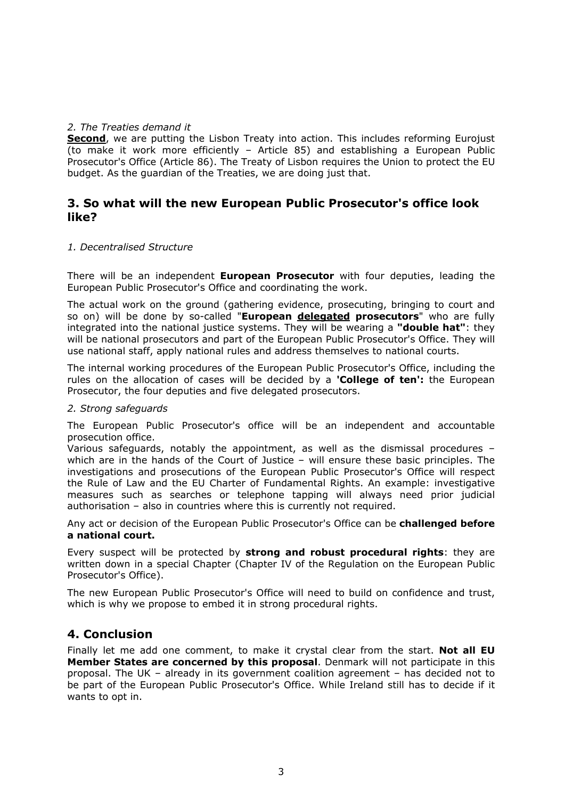#### *2. The Treaties demand it*

**Second**, we are putting the Lisbon Treaty into action. This includes reforming Eurojust (to make it work more efficiently – Article 85) and establishing a European Public Prosecutor's Office (Article 86). The Treaty of Lisbon requires the Union to protect the EU budget. As the guardian of the Treaties, we are doing just that.

### **3. So what will the new European Public Prosecutor's office look like?**

#### *1. Decentralised Structure*

There will be an independent **European Prosecutor** with four deputies, leading the European Public Prosecutor's Office and coordinating the work.

The actual work on the ground (gathering evidence, prosecuting, bringing to court and so on) will be done by so-called "**European delegated prosecutors**" who are fully integrated into the national justice systems. They will be wearing a **"double hat"**: they will be national prosecutors and part of the European Public Prosecutor's Office. They will use national staff, apply national rules and address themselves to national courts.

The internal working procedures of the European Public Prosecutor's Office, including the rules on the allocation of cases will be decided by a **'College of ten':** the European Prosecutor, the four deputies and five delegated prosecutors.

#### *2. Strong safeguards*

The European Public Prosecutor's office will be an independent and accountable prosecution office.

Various safeguards, notably the appointment, as well as the dismissal procedures – which are in the hands of the Court of Justice – will ensure these basic principles. The investigations and prosecutions of the European Public Prosecutor's Office will respect the Rule of Law and the EU Charter of Fundamental Rights. An example: investigative measures such as searches or telephone tapping will always need prior judicial authorisation – also in countries where this is currently not required.

Any act or decision of the European Public Prosecutor's Office can be **challenged before a national court.**

Every suspect will be protected by **strong and robust procedural rights**: they are written down in a special Chapter (Chapter IV of the Regulation on the European Public Prosecutor's Office).

The new European Public Prosecutor's Office will need to build on confidence and trust, which is why we propose to embed it in strong procedural rights.

### **4. Conclusion**

Finally let me add one comment, to make it crystal clear from the start. **Not all EU Member States are concerned by this proposal**. Denmark will not participate in this proposal. The UK – already in its government coalition agreement – has decided not to be part of the European Public Prosecutor's Office. While Ireland still has to decide if it wants to opt in.